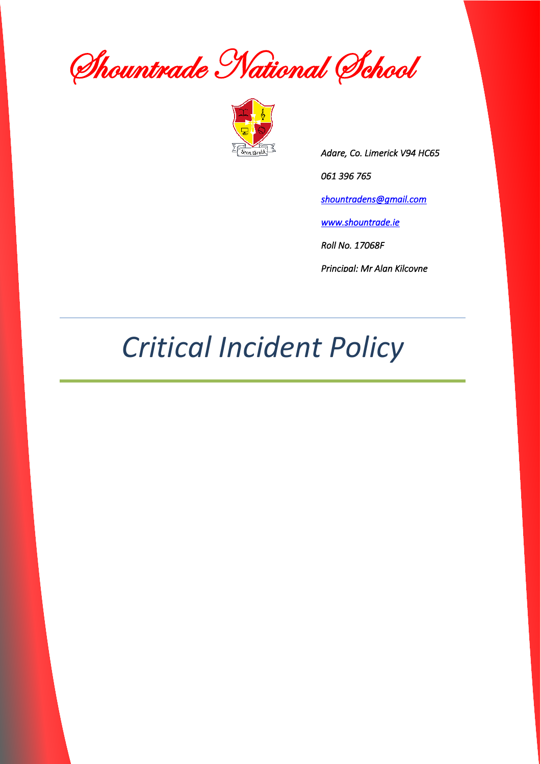Shountrade National School



*Adare, Co. Limerick V94 HC65 061 396 765 [shountradens@gmail.com](mailto:shountradens@gmail.com)  [www.shountrade.ie](http://www.shountrade.ie/)  Roll No. 17068F Principal: Mr Alan Kilcoyne* 

### *Critical Incident Policy*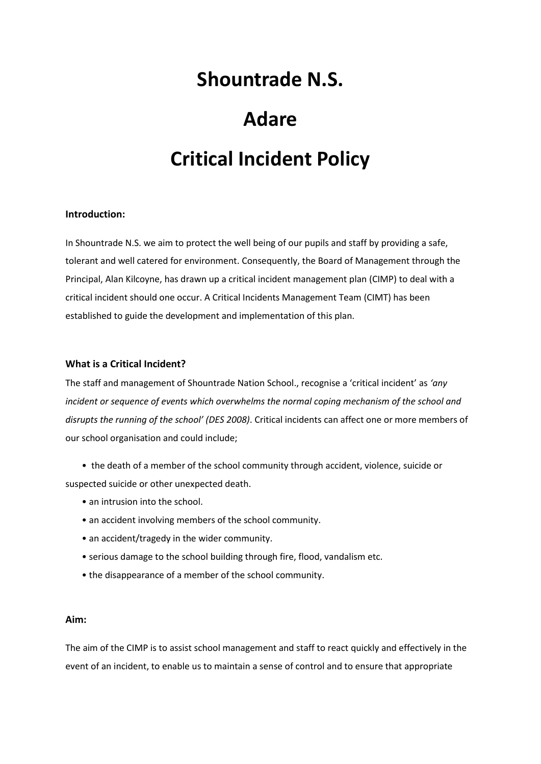### **Shountrade N.S.**

## **Adare Critical Incident Policy**

#### **Introduction:**

In Shountrade N.S. we aim to protect the well being of our pupils and staff by providing a safe, tolerant and well catered for environment. Consequently, the Board of Management through the Principal, Alan Kilcoyne, has drawn up a critical incident management plan (CIMP) to deal with a critical incident should one occur. A Critical Incidents Management Team (CIMT) has been established to guide the development and implementation of this plan.

#### **What is a Critical Incident?**

The staff and management of Shountrade Nation School., recognise a 'critical incident' as *'any incident or sequence of events which overwhelms the normal coping mechanism of the school and disrupts the running of the school' (DES 2008)*. Critical incidents can affect one or more members of our school organisation and could include;

- the death of a member of the school community through accident, violence, suicide or suspected suicide or other unexpected death.
	- an intrusion into the school.
	- an accident involving members of the school community.
	- an accident/tragedy in the wider community.
	- serious damage to the school building through fire, flood, vandalism etc.
	- the disappearance of a member of the school community.

#### **Aim:**

The aim of the CIMP is to assist school management and staff to react quickly and effectively in the event of an incident, to enable us to maintain a sense of control and to ensure that appropriate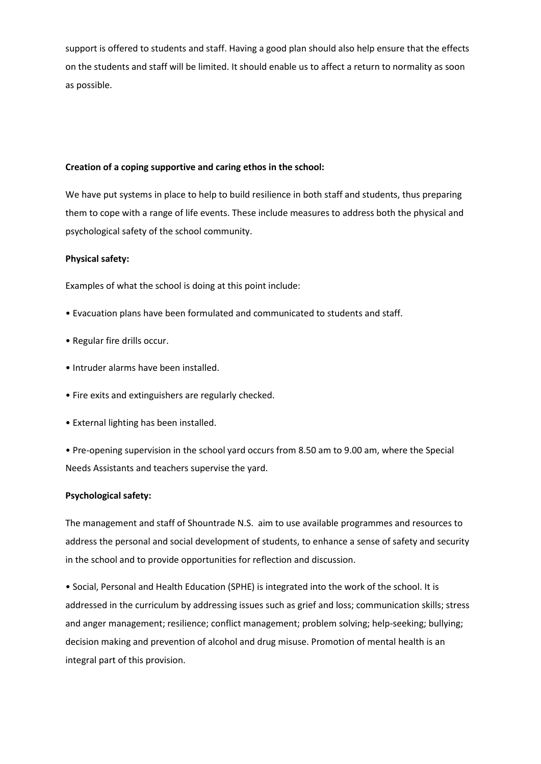support is offered to students and staff. Having a good plan should also help ensure that the effects on the students and staff will be limited. It should enable us to affect a return to normality as soon as possible.

#### **Creation of a coping supportive and caring ethos in the school:**

We have put systems in place to help to build resilience in both staff and students, thus preparing them to cope with a range of life events. These include measures to address both the physical and psychological safety of the school community.

#### **Physical safety:**

Examples of what the school is doing at this point include:

- Evacuation plans have been formulated and communicated to students and staff.
- Regular fire drills occur.
- Intruder alarms have been installed.
- Fire exits and extinguishers are regularly checked.
- External lighting has been installed.
- Pre-opening supervision in the school yard occurs from 8.50 am to 9.00 am, where the Special Needs Assistants and teachers supervise the yard.

#### **Psychological safety:**

The management and staff of Shountrade N.S. aim to use available programmes and resources to address the personal and social development of students, to enhance a sense of safety and security in the school and to provide opportunities for reflection and discussion.

• Social, Personal and Health Education (SPHE) is integrated into the work of the school. It is addressed in the curriculum by addressing issues such as grief and loss; communication skills; stress and anger management; resilience; conflict management; problem solving; help-seeking; bullying; decision making and prevention of alcohol and drug misuse. Promotion of mental health is an integral part of this provision.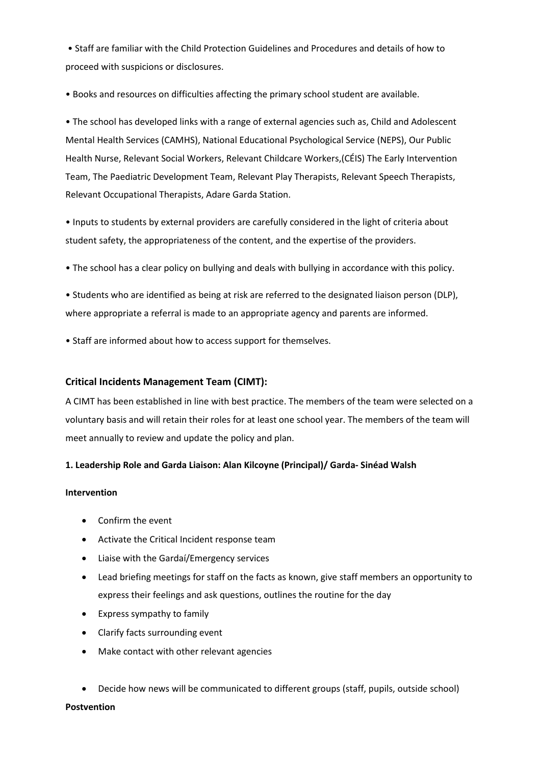• Staff are familiar with the Child Protection Guidelines and Procedures and details of how to proceed with suspicions or disclosures.

• Books and resources on difficulties affecting the primary school student are available.

• The school has developed links with a range of external agencies such as, Child and Adolescent Mental Health Services (CAMHS), National Educational Psychological Service (NEPS), Our Public Health Nurse, Relevant Social Workers, Relevant Childcare Workers,(CÉIS) The Early Intervention Team, The Paediatric Development Team, Relevant Play Therapists, Relevant Speech Therapists, Relevant Occupational Therapists, Adare Garda Station.

• Inputs to students by external providers are carefully considered in the light of criteria about student safety, the appropriateness of the content, and the expertise of the providers.

• The school has a clear policy on bullying and deals with bullying in accordance with this policy.

• Students who are identified as being at risk are referred to the designated liaison person (DLP), where appropriate a referral is made to an appropriate agency and parents are informed.

• Staff are informed about how to access support for themselves.

#### **Critical Incidents Management Team (CIMT):**

A CIMT has been established in line with best practice. The members of the team were selected on a voluntary basis and will retain their roles for at least one school year. The members of the team will meet annually to review and update the policy and plan.

#### **1. Leadership Role and Garda Liaison: Alan Kilcoyne (Principal)/ Garda- Sinéad Walsh**

#### **Intervention**

- Confirm the event
- Activate the Critical Incident response team
- Liaise with the Gardaí/Emergency services
- Lead briefing meetings for staff on the facts as known, give staff members an opportunity to express their feelings and ask questions, outlines the routine for the day
- Express sympathy to family
- Clarify facts surrounding event
- Make contact with other relevant agencies
- Decide how news will be communicated to different groups (staff, pupils, outside school)

#### **Postvention**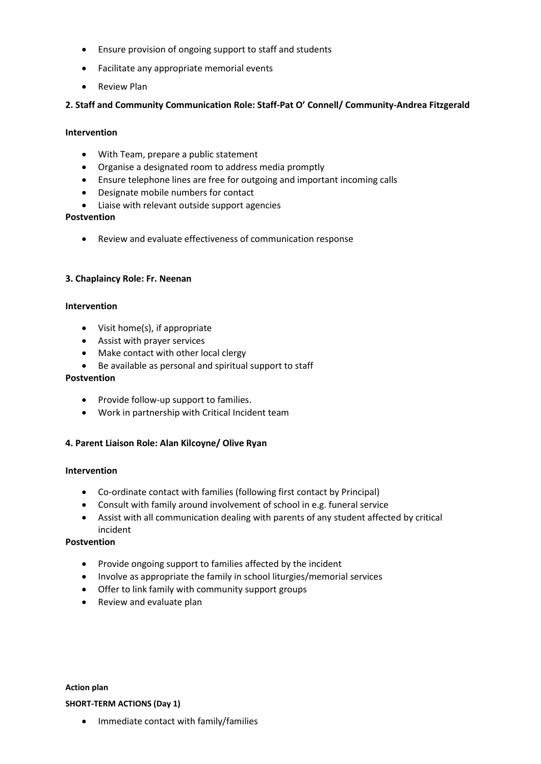- Ensure provision of ongoing support to staff and students
- Facilitate any appropriate memorial events
- Review Plan

#### **2. Staff and Community Communication Role: Staff-Pat O' Connell/ Community-Andrea Fitzgerald**

#### **Intervention**

- With Team, prepare a public statement
- Organise a designated room to address media promptly
- Ensure telephone lines are free for outgoing and important incoming calls
- Designate mobile numbers for contact
- Liaise with relevant outside support agencies

#### **Postvention**

• Review and evaluate effectiveness of communication response

#### **3. Chaplaincy Role: Fr. Neenan**

#### **Intervention**

- Visit home(s), if appropriate
- Assist with prayer services
- Make contact with other local clergy
- Be available as personal and spiritual support to staff

#### **Postvention**

- Provide follow-up support to families.
- Work in partnership with Critical Incident team

#### **4. Parent Liaison Role: Alan Kilcoyne/ Olive Ryan**

#### **Intervention**

- Co-ordinate contact with families (following first contact by Principal)
- Consult with family around involvement of school in e.g. funeral service
- Assist with all communication dealing with parents of any student affected by critical incident

#### **Postvention**

- Provide ongoing support to families affected by the incident
- Involve as appropriate the family in school liturgies/memorial services
- Offer to link family with community support groups
- Review and evaluate plan

**Action plan SHORT-TERM ACTIONS (Day 1)**

• Immediate contact with family/families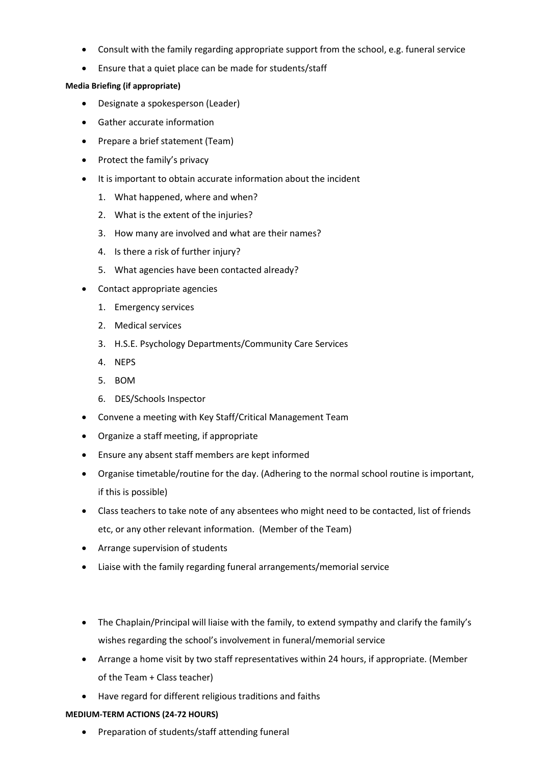- Consult with the family regarding appropriate support from the school, e.g. funeral service
- Ensure that a quiet place can be made for students/staff

#### **Media Briefing (if appropriate)**

- Designate a spokesperson (Leader)
- Gather accurate information
- Prepare a brief statement (Team)
- Protect the family's privacy
- It is important to obtain accurate information about the incident
	- 1. What happened, where and when?
	- 2. What is the extent of the injuries?
	- 3. How many are involved and what are their names?
	- 4. Is there a risk of further injury?
	- 5. What agencies have been contacted already?
- Contact appropriate agencies
	- 1. Emergency services
	- 2. Medical services
	- 3. H.S.E. Psychology Departments/Community Care Services
	- 4. NEPS
	- 5. BOM
	- 6. DES/Schools Inspector
- Convene a meeting with Key Staff/Critical Management Team
- Organize a staff meeting, if appropriate
- Ensure any absent staff members are kept informed
- Organise timetable/routine for the day. (Adhering to the normal school routine is important, if this is possible)
- Class teachers to take note of any absentees who might need to be contacted, list of friends etc, or any other relevant information. (Member of the Team)
- Arrange supervision of students
- Liaise with the family regarding funeral arrangements/memorial service
- The Chaplain/Principal will liaise with the family, to extend sympathy and clarify the family's wishes regarding the school's involvement in funeral/memorial service
- Arrange a home visit by two staff representatives within 24 hours, if appropriate. (Member of the Team + Class teacher)
- Have regard for different religious traditions and faiths

#### **MEDIUM-TERM ACTIONS (24-72 HOURS)**

• Preparation of students/staff attending funeral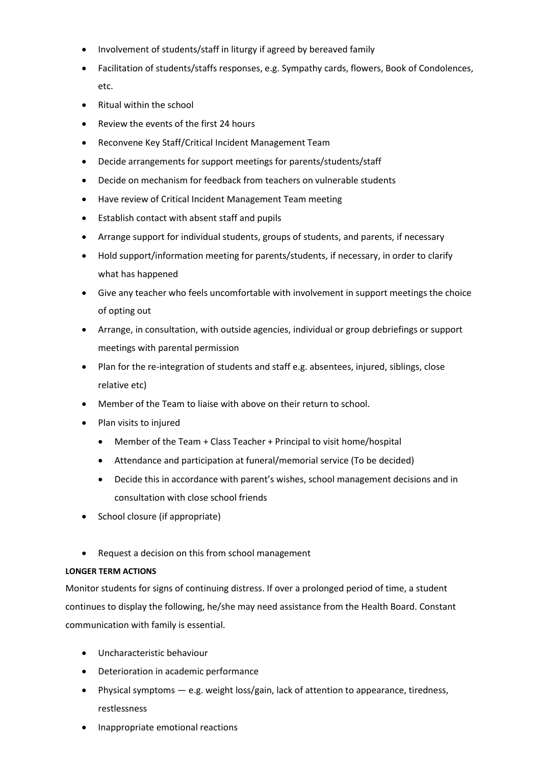- Involvement of students/staff in liturgy if agreed by bereaved family
- Facilitation of students/staffs responses, e.g. Sympathy cards, flowers, Book of Condolences, etc.
- Ritual within the school
- Review the events of the first 24 hours
- Reconvene Key Staff/Critical Incident Management Team
- Decide arrangements for support meetings for parents/students/staff
- Decide on mechanism for feedback from teachers on vulnerable students
- Have review of Critical Incident Management Team meeting
- Establish contact with absent staff and pupils
- Arrange support for individual students, groups of students, and parents, if necessary
- Hold support/information meeting for parents/students, if necessary, in order to clarify what has happened
- Give any teacher who feels uncomfortable with involvement in support meetings the choice of opting out
- Arrange, in consultation, with outside agencies, individual or group debriefings or support meetings with parental permission
- Plan for the re-integration of students and staff e.g. absentees, injured, siblings, close relative etc)
- Member of the Team to liaise with above on their return to school.
- Plan visits to injured
	- Member of the Team + Class Teacher + Principal to visit home/hospital
	- Attendance and participation at funeral/memorial service (To be decided)
	- Decide this in accordance with parent's wishes, school management decisions and in consultation with close school friends
- School closure (if appropriate)
- Request a decision on this from school management

#### **LONGER TERM ACTIONS**

Monitor students for signs of continuing distress. If over a prolonged period of time, a student continues to display the following, he/she may need assistance from the Health Board. Constant communication with family is essential.

- Uncharacteristic behaviour
- Deterioration in academic performance
- Physical symptoms e.g. weight loss/gain, lack of attention to appearance, tiredness, restlessness
- Inappropriate emotional reactions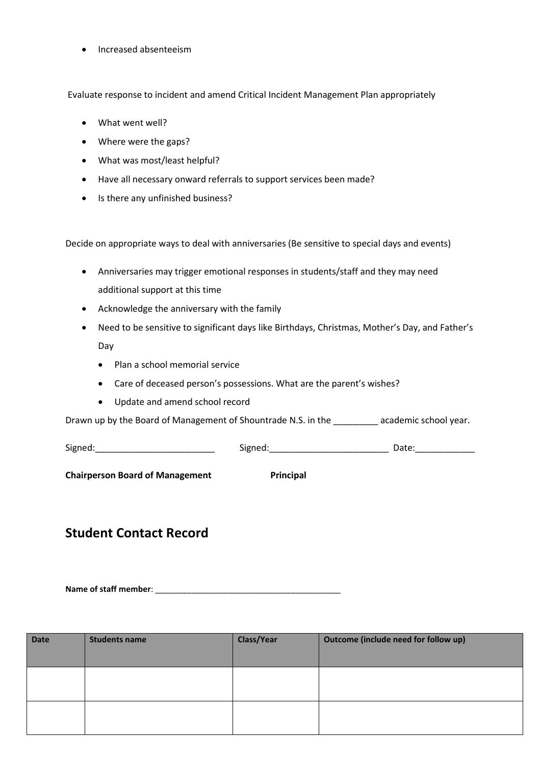• Increased absenteeism

Evaluate response to incident and amend Critical Incident Management Plan appropriately

- What went well?
- Where were the gaps?
- What was most/least helpful?
- Have all necessary onward referrals to support services been made?
- Is there any unfinished business?

Decide on appropriate ways to deal with anniversaries (Be sensitive to special days and events)

- Anniversaries may trigger emotional responses in students/staff and they may need additional support at this time
- Acknowledge the anniversary with the family
- Need to be sensitive to significant days like Birthdays, Christmas, Mother's Day, and Father's Day
	- Plan a school memorial service
	- Care of deceased person's possessions. What are the parent's wishes?
	- Update and amend school record

Drawn up by the Board of Management of Shountrade N.S. in the \_\_\_\_\_\_\_\_\_ academic school year.

Signed:\_\_\_\_\_\_\_\_\_\_\_\_\_\_\_\_\_\_\_\_\_\_\_\_ Signed:\_\_\_\_\_\_\_\_\_\_\_\_\_\_\_\_\_\_\_\_\_\_\_\_ Date:\_\_\_\_\_\_\_\_\_\_\_\_

**Chairperson Board of Management Principal** 

#### **Student Contact Record**

**Name of staff member**: \_\_\_\_\_\_\_\_\_\_\_\_\_\_\_\_\_\_\_\_\_\_\_\_\_\_\_\_\_\_\_\_\_\_\_\_\_\_\_\_\_

| Date | <b>Students name</b> | <b>Class/Year</b> | Outcome (include need for follow up) |
|------|----------------------|-------------------|--------------------------------------|
|      |                      |                   |                                      |
|      |                      |                   |                                      |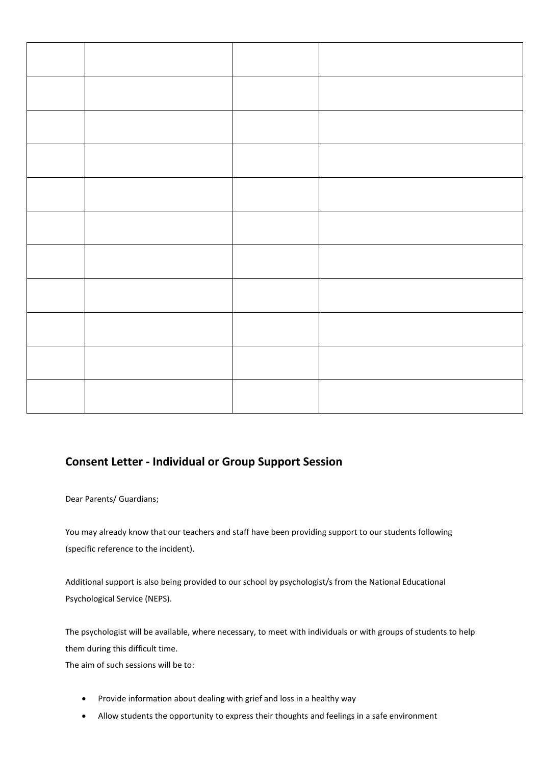#### **Consent Letter - Individual or Group Support Session**

Dear Parents/ Guardians;

You may already know that our teachers and staff have been providing support to our students following (specific reference to the incident).

Additional support is also being provided to our school by psychologist/s from the National Educational Psychological Service (NEPS).

The psychologist will be available, where necessary, to meet with individuals or with groups of students to help them during this difficult time.

The aim of such sessions will be to:

- Provide information about dealing with grief and loss in a healthy way
- Allow students the opportunity to express their thoughts and feelings in a safe environment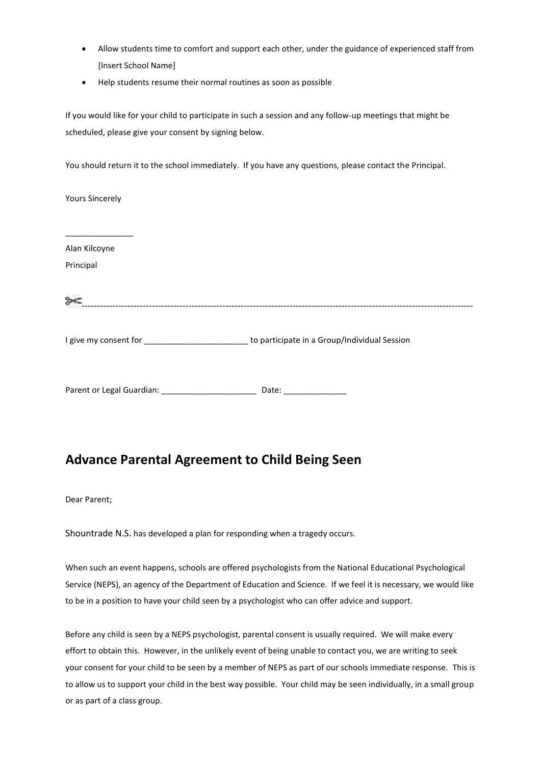- Allow students time to comfort and support each other, under the guidance of experienced staff from [Insert School Name]
- Help students resume their normal routines as soon as possible

If you would like for your child to participate in such a session and any follow-up meetings that might be scheduled, please give your consent by signing below.

You should return it to the school immediately. If you have any questions, please contact the Principal.

Yours Sincerely

\_\_\_\_\_\_\_\_\_\_\_\_\_\_\_ Alan Kilcoyne Principal [-](http://images.google.ie/imgres?imgurl=http://www.somerset.gov.uk/stcsymbols/STCsymbolswm/Scissors%25202.jpg&imgrefurl=http://www.somerset.gov.uk/stcsymbols/atoz.asp%3Fquery%3DS%26offset%3D48&usg=__dSWFvRQJLQyzysEfPa3DKLosstY=&h=133&w=133&sz=9&hl=en&start=4&tbnid=izfRal5RZHBhfM:&tbnh=92&tbnw=92&prev=/images%3Fq%3Dscissor%2Bsymbol%26gbv%3D2%26hl%3Den)------------------------------------------------------------------------------------------------------------------------------- I give my consent for \_\_\_\_\_\_\_\_\_\_\_\_\_\_\_\_\_\_\_\_\_\_\_\_\_\_\_\_\_to participate in a Group/Individual Session Parent or Legal Guardian: \_\_\_\_\_\_\_\_\_\_\_\_\_\_\_\_\_\_\_\_\_\_\_\_\_\_\_\_\_\_\_ Date: \_\_\_\_\_\_\_\_\_\_\_\_\_\_\_\_

#### **Advance Parental Agreement to Child Being Seen**

Dear Parent;

Shountrade N.S. has developed a plan for responding when a tragedy occurs.

When such an event happens, schools are offered psychologists from the National Educational Psychological Service (NEPS), an agency of the Department of Education and Science. If we feel it is necessary, we would like to be in a position to have your child seen by a psychologist who can offer advice and support.

Before any child is seen by a NEPS psychologist, parental consent is usually required. We will make every effort to obtain this. However, in the unlikely event of being unable to contact you, we are writing to seek your consent for your child to be seen by a member of NEPS as part of our schools immediate response. This is to allow us to support your child in the best way possible. Your child may be seen individually, in a small group or as part of a class group.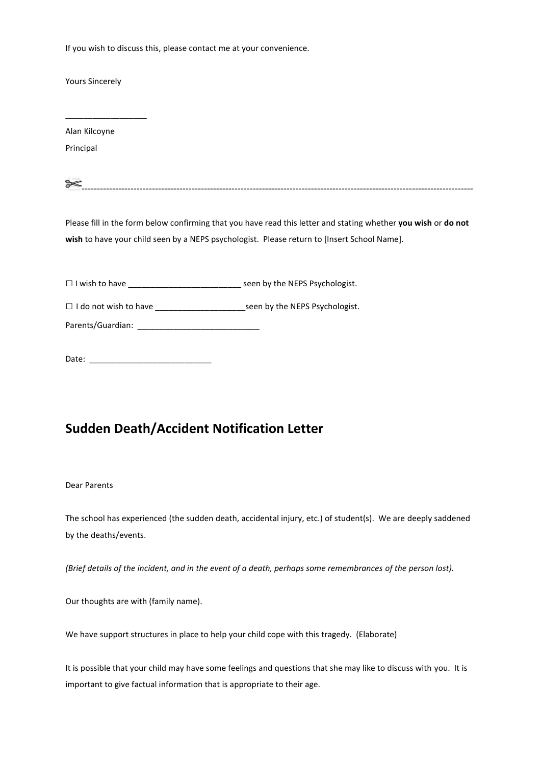If you wish to discuss this, please contact me at your convenience.

Yours Sincerely

\_\_\_\_\_\_\_\_\_\_\_\_\_\_\_\_\_\_

Alan Kilcoyne Principal

| $\approx$<br>u |  |  |  |  |
|----------------|--|--|--|--|
|                |  |  |  |  |

Please fill in the form below confirming that you have read this letter and stating whether **you wish** or **do not wish** to have your child seen by a NEPS psychologist. Please return to [Insert School Name].

 $\Box$  I wish to have  $\Box$  I wish to have

□ I do not wish to have \_\_\_\_\_\_\_\_\_\_\_\_\_\_\_\_\_\_\_\_seen by the NEPS Psychologist.

Parents/Guardian:

Date: \_\_\_\_\_\_\_\_\_\_\_\_\_\_\_\_\_\_\_\_\_\_\_\_\_\_\_

#### **Sudden Death/Accident Notification Letter**

#### Dear Parents

The school has experienced (the sudden death, accidental injury, etc.) of student(s). We are deeply saddened by the deaths/events.

*(Brief details of the incident, and in the event of a death, perhaps some remembrances of the person lost).*

Our thoughts are with (family name).

We have support structures in place to help your child cope with this tragedy. (Elaborate)

It is possible that your child may have some feelings and questions that she may like to discuss with you. It is important to give factual information that is appropriate to their age.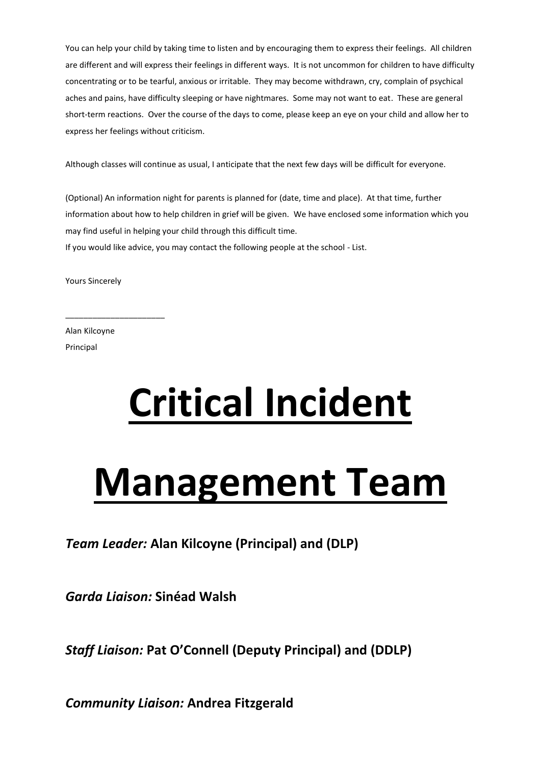You can help your child by taking time to listen and by encouraging them to express their feelings. All children are different and will express their feelings in different ways. It is not uncommon for children to have difficulty concentrating or to be tearful, anxious or irritable. They may become withdrawn, cry, complain of psychical aches and pains, have difficulty sleeping or have nightmares. Some may not want to eat. These are general short-term reactions. Over the course of the days to come, please keep an eye on your child and allow her to express her feelings without criticism.

Although classes will continue as usual, I anticipate that the next few days will be difficult for everyone.

(Optional) An information night for parents is planned for (date, time and place). At that time, further information about how to help children in grief will be given. We have enclosed some information which you may find useful in helping your child through this difficult time.

If you would like advice, you may contact the following people at the school - List.

Yours Sincerely

\_\_\_\_\_\_\_\_\_\_\_\_\_\_\_\_\_\_\_\_\_\_

Alan Kilcoyne Principal

# **Critical Incident**

# **Management Team**

*Team Leader:* **Alan Kilcoyne (Principal) and (DLP)**

*Garda Liaison:* **Sinéad Walsh**

*Staff Liaison:* **Pat O'Connell (Deputy Principal) and (DDLP)**

*Community Liaison:* **Andrea Fitzgerald**